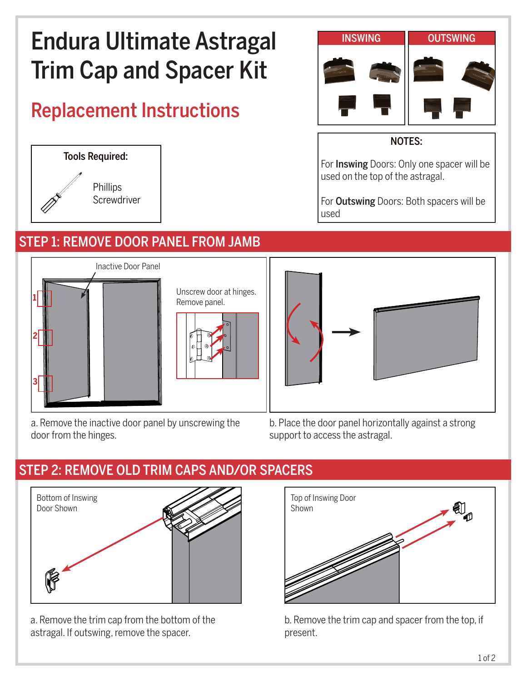# Endura Ultimate Astragal Trim Cap and Spacer Kit

## Replacement Instructions



#### STEP 1: REMOVE DOOR PANEL FROM JAMB



Unscrew door at hinges. Remove panel.

a. Remove the inactive door panel by unscrewing the door from the hinges.

b. Place the door panel horizontally against a strong support to access the astragal.

### STEP 2: REMOVE OLD TRIM CAPS AND/OR SPACERS



a. Remove the trim cap from the bottom of the astragal. If outswing, remove the spacer.



b. Remove the trim cap and spacer from the top, if present.



#### NOTES:

For **Inswing** Doors: Only one spacer will be used on the top of the astragal.

For **Outswing** Doors: Both spacers will be used